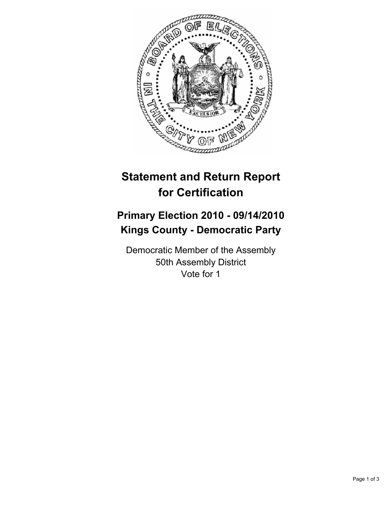

## **Statement and Return Report for Certification**

## **Primary Election 2010 - 09/14/2010 Kings County - Democratic Party**

Democratic Member of the Assembly 50th Assembly District Vote for 1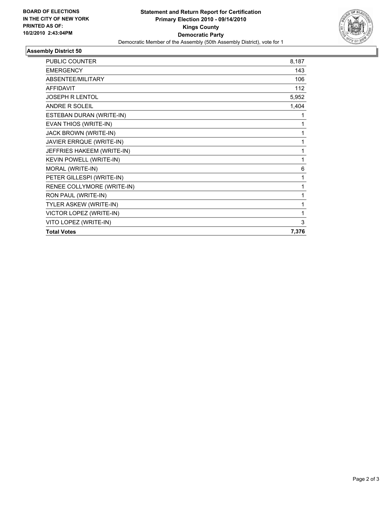

## **Assembly District 50**

| <b>PUBLIC COUNTER</b>      | 8,187 |
|----------------------------|-------|
| <b>EMERGENCY</b>           | 143   |
| ABSENTEE/MILITARY          | 106   |
| <b>AFFIDAVIT</b>           | 112   |
| JOSEPH R LENTOL            | 5,952 |
| <b>ANDRE R SOLEIL</b>      | 1,404 |
| ESTEBAN DURAN (WRITE-IN)   | 1     |
| EVAN THIOS (WRITE-IN)      | 1     |
| JACK BROWN (WRITE-IN)      | 1     |
| JAVIER ERRQUE (WRITE-IN)   | 1     |
| JEFFRIES HAKEEM (WRITE-IN) | 1     |
| KEVIN POWELL (WRITE-IN)    | 1     |
| MORAL (WRITE-IN)           | 6     |
| PETER GILLESPI (WRITE-IN)  | 1     |
| RENEE COLLYMORE (WRITE-IN) | 1     |
| RON PAUL (WRITE-IN)        | 1     |
| TYLER ASKEW (WRITE-IN)     | 1     |
| VICTOR LOPEZ (WRITE-IN)    | 1     |
| VITO LOPEZ (WRITE-IN)      | 3     |
| <b>Total Votes</b>         | 7,376 |